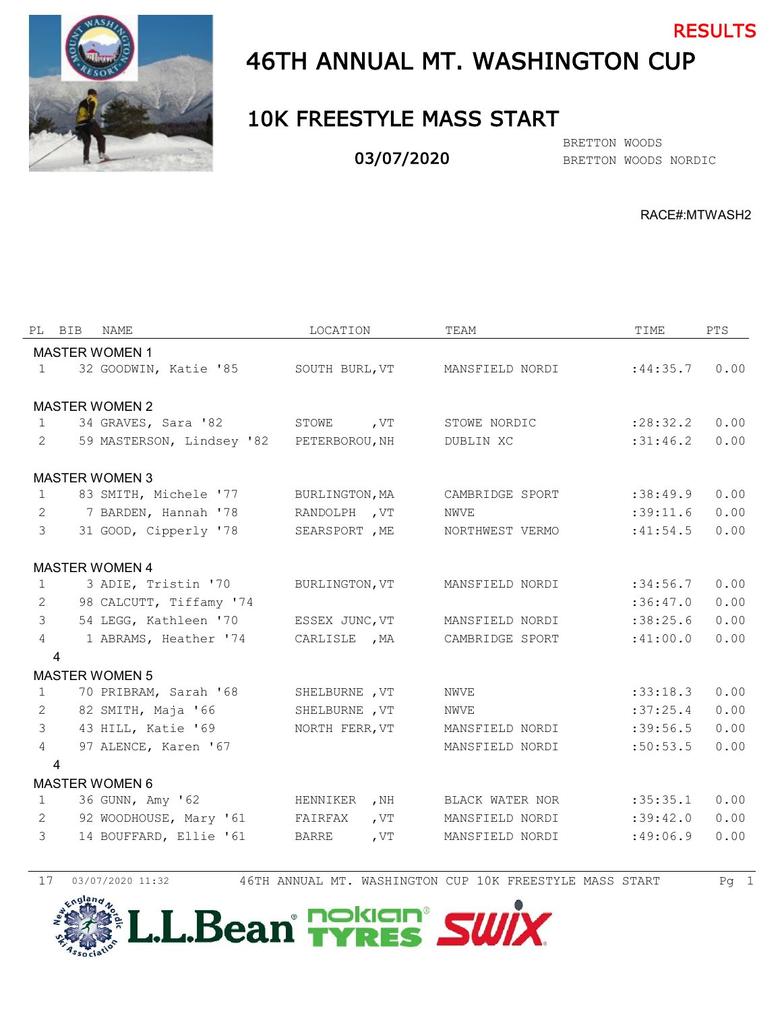

# 46TH ANNUAL MT. WASHINGTON CUP

### 10K FREESTYLE MASS START

03/07/2020

BRETTON WOODS NORDIC BRETTON WOODS

RACE#:MTWASH2

RESULTS

| PL             | BIB            | <b>NAME</b>               | LOCATION       |        | TEAM            | TIME      | PTS. |
|----------------|----------------|---------------------------|----------------|--------|-----------------|-----------|------|
|                |                | <b>MASTER WOMEN 1</b>     |                |        |                 |           |      |
| $\mathbf{1}$   |                | 32 GOODWIN, Katie '85     | SOUTH BURL, VT |        | MANSFIELD NORDI | :44:35.7  | 0.00 |
|                |                |                           |                |        |                 |           |      |
|                |                | <b>MASTER WOMEN 2</b>     |                |        |                 |           |      |
| $\mathbf{1}$   |                | 34 GRAVES, Sara '82       | STOWE, VT      |        | STOWE NORDIC    | : 28:32.2 | 0.00 |
| $\overline{2}$ |                | 59 MASTERSON, Lindsey '82 | PETERBOROU, NH |        | DUBLIN XC       | :31:46.2  | 0.00 |
|                |                | <b>MASTER WOMEN 3</b>     |                |        |                 |           |      |
| $\mathbf{1}$   |                | 83 SMITH, Michele '77     | BURLINGTON, MA |        | CAMBRIDGE SPORT | :38:49.9  | 0.00 |
| 2              |                | 7 BARDEN, Hannah '78      | RANDOLPH, VT   |        | NWVE            | :39:11.6  | 0.00 |
| $\mathcal{S}$  |                | 31 GOOD, Cipperly '78     | SEARSPORT , ME |        | NORTHWEST VERMO | :41:54.5  | 0.00 |
|                |                | <b>MASTER WOMEN 4</b>     |                |        |                 |           |      |
| 1              |                | 3 ADIE, Tristin '70       | BURLINGTON, VT |        | MANSFIELD NORDI | :34:56.7  | 0.00 |
| 2              |                | 98 CALCUTT, Tiffamy '74   |                |        |                 | :36:47.0  | 0.00 |
| $\mathcal{E}$  |                | 54 LEGG, Kathleen '70     | ESSEX JUNC, VT |        | MANSFIELD NORDI | :38:25.6  | 0.00 |
| $\overline{4}$ |                | 1 ABRAMS, Heather '74     | CARLISLE , MA  |        | CAMBRIDGE SPORT | :41:00.0  | 0.00 |
|                | 4              |                           |                |        |                 |           |      |
|                |                | <b>MASTER WOMEN 5</b>     |                |        |                 |           |      |
| $\mathbf{1}$   |                | 70 PRIBRAM, Sarah '68     | SHELBURNE , VT |        | NWVE            | :33:18.3  | 0.00 |
| 2              |                | 82 SMITH, Maja '66        | SHELBURNE , VT |        | <b>NWVE</b>     | :37:25.4  | 0.00 |
| $\mathcal{S}$  |                | 43 HILL, Katie '69        | NORTH FERR, VT |        | MANSFIELD NORDI | :39:56.5  | 0.00 |
| $\overline{4}$ |                | 97 ALENCE, Karen '67      |                |        | MANSFIELD NORDI | :50:53.5  | 0.00 |
|                | $\overline{4}$ | <b>MASTER WOMEN 6</b>     |                |        |                 |           |      |
| $\mathbf{1}$   |                | 36 GUNN, Amy '62          | HENNIKER       | , $NH$ | BLACK WATER NOR | :35:35.1  | 0.00 |
| 2              |                | 92 WOODHOUSE, Mary '61    | FAIRFAX        | , $VT$ | MANSFIELD NORDI | :39:42.0  | 0.00 |
| $\mathcal{E}$  |                | 14 BOUFFARD, Ellie '61    | BARRE          | , $VT$ | MANSFIELD NORDI | :49:06.9  | 0.00 |
|                |                |                           |                |        |                 |           |      |

17 03/07/2020 11:32 46TH ANNUAL MT. WASHINGTON CUP 10K FREESTYLE MASS START Pg 1



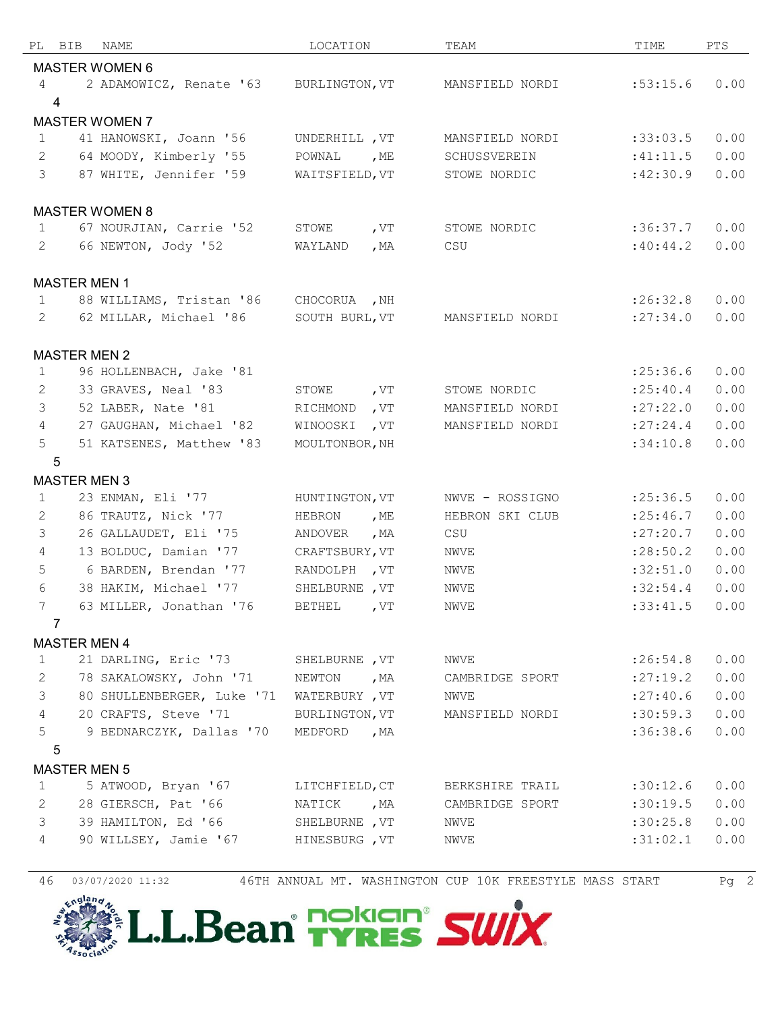| PL BIB          | NAME                       | LOCATION       |        | TEAM            | TIME       | PTS  |
|-----------------|----------------------------|----------------|--------|-----------------|------------|------|
|                 | <b>MASTER WOMEN 6</b>      |                |        |                 |            |      |
| 4               | 2 ADAMOWICZ, Renate '63    | BURLINGTON, VT |        | MANSFIELD NORDI | :53:15.6   | 0.00 |
| 4               |                            |                |        |                 |            |      |
|                 | <b>MASTER WOMEN 7</b>      |                |        |                 |            |      |
| $\mathbf{1}$    | 41 HANOWSKI, Joann '56     | UNDERHILL , VT |        | MANSFIELD NORDI | :33:03.5   | 0.00 |
| $\mathbf{2}$    | 64 MOODY, Kimberly '55     | POWNAL         | , ME   | SCHUSSVEREIN    | :41:11.5   | 0.00 |
| $\mathcal{S}$   | 87 WHITE, Jennifer '59     | WAITSFIELD, VT |        | STOWE NORDIC    | :42:30.9   | 0.00 |
|                 |                            |                |        |                 |            |      |
|                 | <b>MASTER WOMEN 8</b>      |                |        |                 |            |      |
| $\mathbf{1}$    | 67 NOURJIAN, Carrie '52    | STOWE          | , VT   | STOWE NORDIC    | :36:37.7   | 0.00 |
| 2               | 66 NEWTON, Jody '52        | WAYLAND        | , $MA$ | CSU             | :40:44.2   | 0.00 |
|                 |                            |                |        |                 |            |      |
|                 | <b>MASTER MEN 1</b>        |                |        |                 |            |      |
| $\mathbf 1$     | 88 WILLIAMS, Tristan '86   | CHOCORUA , NH  |        |                 | :26:32.8   | 0.00 |
| $\mathbf{2}$    | 62 MILLAR, Michael '86     | SOUTH BURL, VT |        | MANSFIELD NORDI | : 27:34.0  | 0.00 |
|                 |                            |                |        |                 |            |      |
|                 | <b>MASTER MEN 2</b>        |                |        |                 |            |      |
| $\mathbf{1}$    | 96 HOLLENBACH, Jake '81    |                |        |                 | : 25:36.6  | 0.00 |
| 2               | 33 GRAVES, Neal '83        | STOWE, VT      |        | STOWE NORDIC    | : 25: 40.4 | 0.00 |
| 3               | 52 LABER, Nate '81         | RICHMOND       | , $VT$ | MANSFIELD NORDI | :27:22.0   | 0.00 |
| $\overline{4}$  | 27 GAUGHAN, Michael '82    | WINOOSKI       | , VT   | MANSFIELD NORDI | : 27: 24.4 | 0.00 |
| 5               | 51 KATSENES, Matthew '83   | MOULTONBOR, NH |        |                 | :34:10.8   | 0.00 |
| 5               |                            |                |        |                 |            |      |
|                 | <b>MASTER MEN 3</b>        |                |        |                 |            |      |
| $\mathbf{1}$    | 23 ENMAN, Eli '77          | HUNTINGTON, VT |        | NWVE - ROSSIGNO | : 25:36.5  | 0.00 |
| 2               | 86 TRAUTZ, Nick '77        | HEBRON         | , ME   | HEBRON SKI CLUB | : 25:46.7  | 0.00 |
| 3               | 26 GALLAUDET, Eli '75      | ANDOVER        | , $MA$ | CSU             | :27:20.7   | 0.00 |
| $\overline{4}$  | 13 BOLDUC, Damian '77      | CRAFTSBURY, VT |        | NWVE            | : 28:50.2  | 0.00 |
| 5               | 6 BARDEN, Brendan '77      | RANDOLPH, VT   |        | NWVE            | :32:51.0   | 0.00 |
| 6               | 38 HAKIM, Michael '77      | SHELBURNE , VT |        | NWVE            | :32:54.4   | 0.00 |
| 7               | 63 MILLER, Jonathan '76    | BETHEL         | , $VT$ | NWVE            | :33:41.5   | 0.00 |
| 7               |                            |                |        |                 |            |      |
|                 | <b>MASTER MEN 4</b>        |                |        |                 |            |      |
| $\mathbf{1}$    | 21 DARLING, Eric '73       | SHELBURNE , VT |        | NWVE            | :26:54.8   | 0.00 |
| 2               | 78 SAKALOWSKY, John '71    | NEWTON         | , MA   | CAMBRIDGE SPORT | : 27:19.2  | 0.00 |
| 3               | 80 SHULLENBERGER, Luke '71 | WATERBURY, VT  |        | NWVE            | : 27: 40.6 | 0.00 |
| $4\overline{ }$ | 20 CRAFTS, Steve '71       | BURLINGTON, VT |        | MANSFIELD NORDI | :30:59.3   | 0.00 |
| 5               | 9 BEDNARCZYK, Dallas '70   | MEDFORD, MA    |        |                 | :36:38.6   | 0.00 |
| 5               |                            |                |        |                 |            |      |
|                 | <b>MASTER MEN 5</b>        |                |        |                 |            |      |
| 1               | 5 ATWOOD, Bryan '67        | LITCHFIELD, CT |        | BERKSHIRE TRAIL | :30:12.6   | 0.00 |
| 2               | 28 GIERSCH, Pat '66        | NATICK, MA     |        | CAMBRIDGE SPORT | :30:19.5   | 0.00 |
| 3               | 39 HAMILTON, Ed '66        | SHELBURNE , VT |        | NWVE            | :30:25.8   | 0.00 |
| 4               | 90 WILLSEY, Jamie '67      | HINESBURG , VT |        | NWVE            | :31:02.1   | 0.00 |
|                 |                            |                |        |                 |            |      |

03/07/2020 11:32 46TH ANNUAL MT. WASHINGTON CUP 10K FREESTYLE MASS START Pg 2

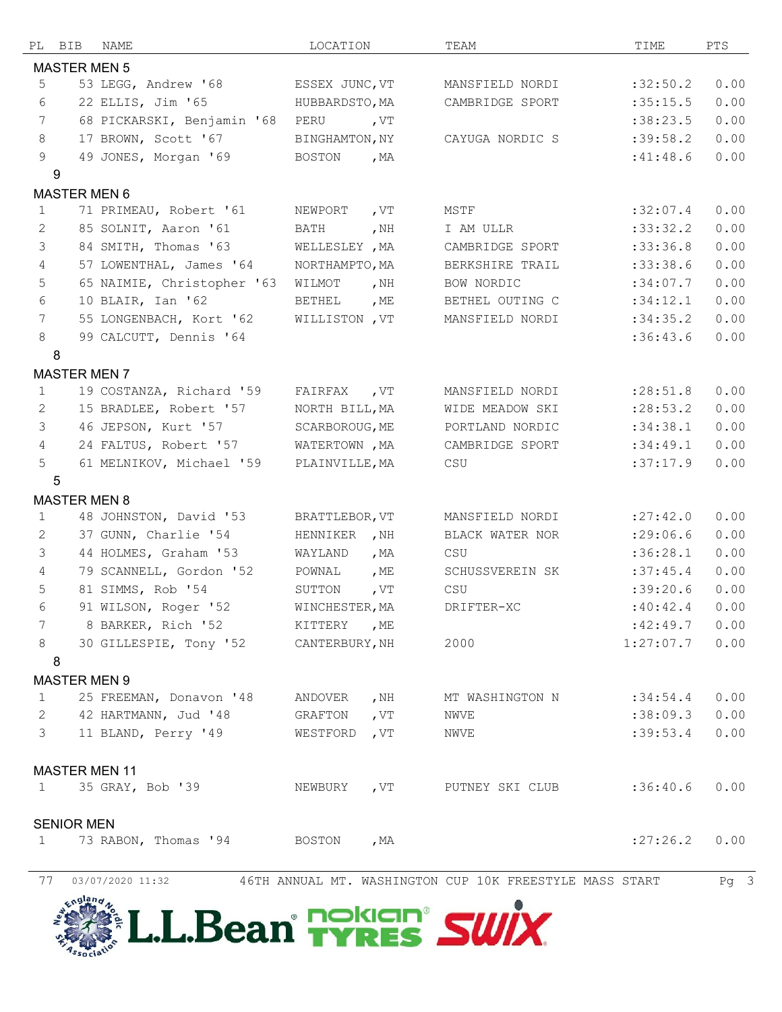| PL              | <b>BIB</b>           | NAME                                  | LOCATION       |        | TEAM            | TIME      | PTS  |  |  |  |
|-----------------|----------------------|---------------------------------------|----------------|--------|-----------------|-----------|------|--|--|--|
|                 | <b>MASTER MEN 5</b>  |                                       |                |        |                 |           |      |  |  |  |
| 5               |                      | 53 LEGG, Andrew '68                   | ESSEX JUNC, VT |        | MANSFIELD NORDI | :32:50.2  | 0.00 |  |  |  |
| 6               |                      | 22 ELLIS, Jim '65                     | HUBBARDSTO, MA |        | CAMBRIDGE SPORT | :35:15.5  | 0.00 |  |  |  |
| 7               |                      | 68 PICKARSKI, Benjamin '68            | PERU           | , VT   |                 | :38:23.5  | 0.00 |  |  |  |
| 8               |                      | 17 BROWN, Scott '67                   | BINGHAMTON, NY |        | CAYUGA NORDIC S | :39:58.2  | 0.00 |  |  |  |
| 9               |                      | 49 JONES, Morgan '69                  | BOSTON         | , $MA$ |                 | :41:48.6  | 0.00 |  |  |  |
|                 | 9                    |                                       |                |        |                 |           |      |  |  |  |
|                 | <b>MASTER MEN 6</b>  |                                       |                |        |                 |           |      |  |  |  |
| $\mathbf{1}$    |                      | 71 PRIMEAU, Robert '61                | NEWPORT        | , $VT$ | MSTF            | :32:07.4  | 0.00 |  |  |  |
| 2               |                      | 85 SOLNIT, Aaron '61                  | <b>BATH</b>    | , $NH$ | I AM ULLR       | :33:32.2  | 0.00 |  |  |  |
| 3               |                      | 84 SMITH, Thomas '63                  | WELLESLEY , MA |        | CAMBRIDGE SPORT | :33:36.8  | 0.00 |  |  |  |
| $\overline{4}$  |                      | 57 LOWENTHAL, James '64               | NORTHAMPTO, MA |        | BERKSHIRE TRAIL | :33:38.6  | 0.00 |  |  |  |
| 5               |                      | 65 NAIMIE, Christopher '63            | WILMOT         | , $NH$ | BOW NORDIC      | :34:07.7  | 0.00 |  |  |  |
| 6               |                      | 10 BLAIR, Ian '62                     | <b>BETHEL</b>  | , ME   | BETHEL OUTING C | :34:12.1  | 0.00 |  |  |  |
| $7\phantom{.0}$ |                      | 55 LONGENBACH, Kort '62               | WILLISTON , VT |        | MANSFIELD NORDI | :34:35.2  | 0.00 |  |  |  |
| 8               |                      | 99 CALCUTT, Dennis '64                |                |        |                 | :36:43.6  | 0.00 |  |  |  |
|                 | 8                    |                                       |                |        |                 |           |      |  |  |  |
|                 | <b>MASTER MEN 7</b>  |                                       |                |        |                 |           |      |  |  |  |
| $\mathbf{1}$    |                      | 19 COSTANZA, Richard '59              | FAIRFAX        | , $VT$ | MANSFIELD NORDI | : 28:51.8 | 0.00 |  |  |  |
| 2               |                      | 15 BRADLEE, Robert '57                | NORTH BILL, MA |        | WIDE MEADOW SKI | : 28:53.2 | 0.00 |  |  |  |
| 3               |                      | 46 JEPSON, Kurt '57                   | SCARBOROUG, ME |        | PORTLAND NORDIC | :34:38.1  | 0.00 |  |  |  |
| $\overline{4}$  |                      | 24 FALTUS, Robert '57                 | WATERTOWN, MA  |        | CAMBRIDGE SPORT | :34:49.1  | 0.00 |  |  |  |
| 5               |                      | 61 MELNIKOV, Michael '59              | PLAINVILLE, MA |        | CSU             | :37:17.9  | 0.00 |  |  |  |
|                 | $\sqrt{5}$           |                                       |                |        |                 |           |      |  |  |  |
|                 | <b>MASTER MEN 8</b>  |                                       |                |        |                 |           |      |  |  |  |
| $\mathbf{1}$    |                      | 48 JOHNSTON, David '53                | BRATTLEBOR, VT |        | MANSFIELD NORDI | :27:42.0  | 0.00 |  |  |  |
| 2               |                      | 37 GUNN, Charlie '54                  | HENNIKER , NH  |        | BLACK WATER NOR | : 29:06.6 | 0.00 |  |  |  |
| 3               |                      | 44 HOLMES, Graham '53                 | WAYLAND        | , $MA$ | CSU             | :36:28.1  | 0.00 |  |  |  |
| $\overline{4}$  |                      | 79 SCANNELL, Gordon '52               | POWNAL         | , $ME$ | SCHUSSVEREIN SK | :37:45.4  | 0.00 |  |  |  |
| 5               |                      | 81 SIMMS, Rob '54                     | SUTTON         | , $VT$ | CSU             | :39:20.6  | 0.00 |  |  |  |
| 6               |                      | 91 WILSON, Roger '52                  | WINCHESTER, MA |        | DRIFTER-XC      | :40:42.4  | 0.00 |  |  |  |
| 7               |                      | 8 BARKER, Rich '52                    | KITTERY , ME   |        |                 | :42:49.7  | 0.00 |  |  |  |
| 8               |                      | 30 GILLESPIE, Tony '52 CANTERBURY, NH |                |        | 2000            | 1:27:07.7 | 0.00 |  |  |  |
|                 | 8                    |                                       |                |        |                 |           |      |  |  |  |
|                 | <b>MASTER MEN 9</b>  |                                       |                |        |                 |           |      |  |  |  |
| $\mathbf{1}$    |                      | 25 FREEMAN, Donavon '48               | ANDOVER        | , NH   | MT WASHINGTON N | :34:54.4  | 0.00 |  |  |  |
| $\mathbf{2}$    |                      | 42 HARTMANN, Jud '48                  | GRAFTON        | , $VT$ | NWVE            | :38:09.3  | 0.00 |  |  |  |
| 3 <sup>7</sup>  |                      | 11 BLAND, Perry '49                   | WESTFORD       | , $VT$ | NWVE            | :39:53.4  | 0.00 |  |  |  |
|                 |                      |                                       |                |        |                 |           |      |  |  |  |
|                 | <b>MASTER MEN 11</b> |                                       |                |        |                 |           |      |  |  |  |
| $\mathbf{1}$    |                      | 35 GRAY, Bob '39                      | NEWBURY        | , VT   | PUTNEY SKI CLUB | :36:40.6  | 0.00 |  |  |  |
|                 |                      |                                       |                |        |                 |           |      |  |  |  |
|                 | <b>SENIOR MEN</b>    |                                       |                |        |                 |           |      |  |  |  |
| $\mathbf{1}$    |                      | 73 RABON, Thomas '94                  | BOSTON         | , $MA$ |                 | : 27:26.2 | 0.00 |  |  |  |
|                 |                      |                                       |                |        |                 |           |      |  |  |  |
|                 |                      |                                       |                |        |                 |           |      |  |  |  |

77 03/07/2020 11:32 46TH ANNUAL MT. WASHINGTON CUP 10K FREESTYLE MASS START Pg 3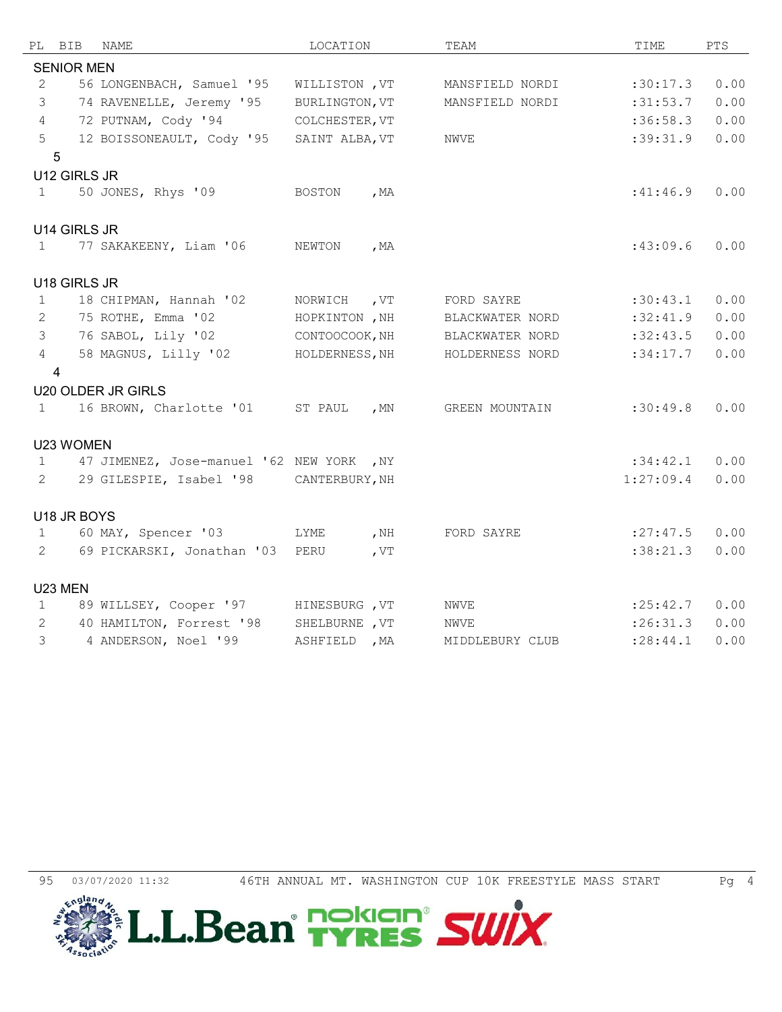| PL                | BIB               | NAME                                     | LOCATION       |        | TEAM            | TIME       | PTS  |
|-------------------|-------------------|------------------------------------------|----------------|--------|-----------------|------------|------|
|                   | <b>SENIOR MEN</b> |                                          |                |        |                 |            |      |
| $\mathbf{2}$      |                   | 56 LONGENBACH, Samuel '95                | WILLISTON, VT  |        | MANSFIELD NORDI | :30:17.3   | 0.00 |
| 3                 |                   | 74 RAVENELLE, Jeremy '95                 | BURLINGTON, VT |        | MANSFIELD NORDI | :31:53.7   | 0.00 |
| $\overline{4}$    |                   | 72 PUTNAM, Cody '94                      | COLCHESTER, VT |        |                 | :36:58.3   | 0.00 |
| 5                 |                   | 12 BOISSONEAULT, Cody '95                | SAINT ALBA, VT |        | NWVE            | :39:31.9   | 0.00 |
|                   | $\overline{5}$    |                                          |                |        |                 |            |      |
|                   | U12 GIRLS JR      |                                          |                |        |                 |            |      |
| $\mathbf{1}$      |                   | 50 JONES, Rhys '09                       | BOSTON         | , $MA$ |                 | :41:46.9   | 0.00 |
|                   |                   |                                          |                |        |                 |            |      |
|                   | U14 GIRLS JR      |                                          |                |        |                 |            |      |
| $\mathbf{1}$      |                   | 77 SAKAKEENY, Liam '06                   | NEWTON         | , $MA$ |                 | :43:09.6   | 0.00 |
|                   |                   |                                          |                |        |                 |            |      |
|                   | U18 GIRLS JR      |                                          |                |        |                 |            |      |
| $\mathbf{1}$      |                   | 18 CHIPMAN, Hannah '02                   | NORWICH , VT   |        | FORD SAYRE      | :30:43.1   | 0.00 |
| 2                 |                   | 75 ROTHE, Emma '02                       | HOPKINTON, NH  |        | BLACKWATER NORD | :32:41.9   | 0.00 |
| $\mathcal{S}$     |                   | 76 SABOL, Lily '02                       | CONTOOCOOK, NH |        | BLACKWATER NORD | :32:43.5   | 0.00 |
| $\overline{4}$    |                   | 58 MAGNUS, Lilly '02                     | HOLDERNESS, NH |        | HOLDERNESS NORD | :34:17.7   | 0.00 |
|                   | $\overline{4}$    |                                          |                |        |                 |            |      |
|                   |                   | <b>U20 OLDER JR GIRLS</b>                |                |        |                 |            |      |
| $\mathbf{1}$      |                   | 16 BROWN, Charlotte '01 ST PAUL , MN     |                |        | GREEN MOUNTAIN  | :30:49.8   | 0.00 |
|                   |                   |                                          |                |        |                 |            |      |
|                   | U23 WOMEN         |                                          |                |        |                 |            |      |
| $\mathbf{1}$      |                   | 47 JIMENEZ, Jose-manuel '62 NEW YORK, NY |                |        |                 | :34:42.1   | 0.00 |
| $\overline{2}$    |                   | 29 GILESPIE, Isabel '98 CANTERBURY, NH   |                |        |                 | 1:27:09.4  | 0.00 |
|                   |                   |                                          |                |        |                 |            |      |
|                   | U18 JR BOYS       | 60 MAY, Spencer '03                      | <b>LYME</b>    | , NH   | FORD SAYRE      | : 27: 47.5 | 0.00 |
| $\mathbf{1}$<br>2 |                   | 69 PICKARSKI, Jonathan '03               | PERU           | , $VT$ |                 | :38:21.3   | 0.00 |
|                   |                   |                                          |                |        |                 |            |      |
|                   | U23 MEN           |                                          |                |        |                 |            |      |
| $\mathbf{1}$      |                   | 89 WILLSEY, Cooper '97                   | HINESBURG , VT |        | NWVE            | : 25: 42.7 | 0.00 |
| 2                 |                   | 40 HAMILTON, Forrest '98                 | SHELBURNE , VT |        | NWVE            | :26:31.3   | 0.00 |
| 3                 |                   | 4 ANDERSON, Noel '99                     | ASHFIELD , MA  |        | MIDDLEBURY CLUB | : 28:44.1  | 0.00 |
|                   |                   |                                          |                |        |                 |            |      |

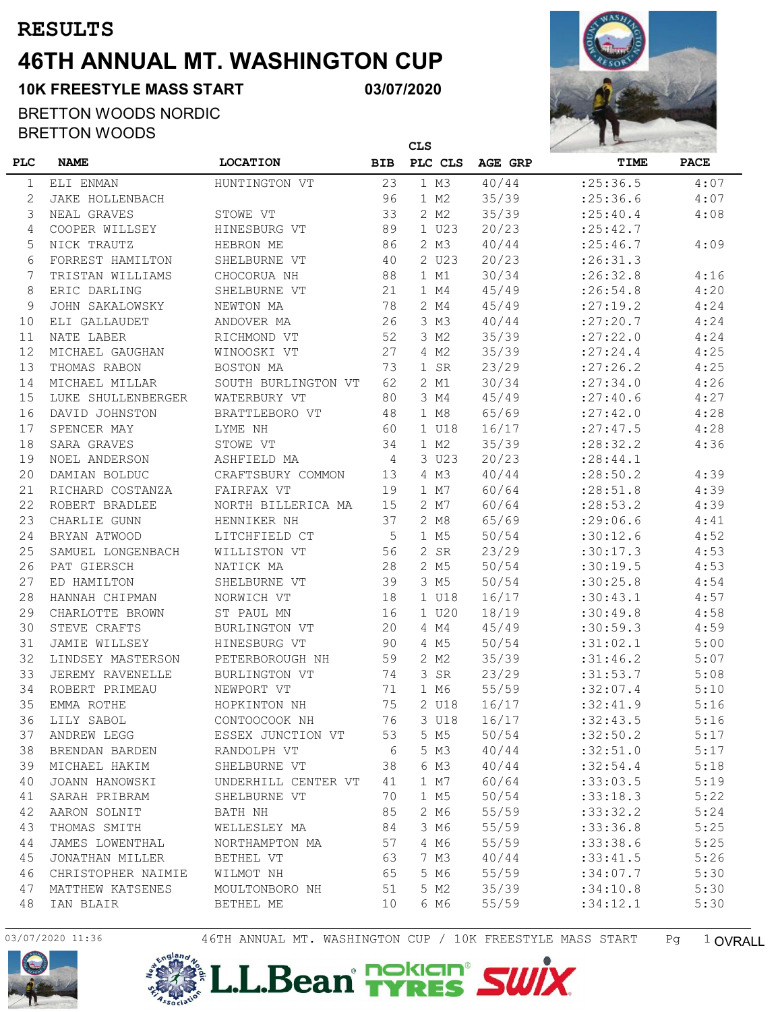## **46TH ANNUAL MT. WASHINGTON CUP RESULTS**

**03/07/2020**

 **CLS**

#### BRETTON WOODS NORDIC BRETTON WOODS

**10K FREESTYLE MASS START**



| <b>PLC</b> | <b>NAME</b>        | <b>LOCATION</b>      | <b>BIB</b> | PLC CLS | AGE GRP | TIME       | <b>PACE</b> |
|------------|--------------------|----------------------|------------|---------|---------|------------|-------------|
| 1          | ELI ENMAN          | HUNTINGTON VT        | 23         | 1 M3    | 40/44   | : 25:36.5  | 4:07        |
| 2          | JAKE HOLLENBACH    |                      | 96         | 1 M2    | 35/39   | : 25:36.6  | 4:07        |
| 3          | NEAL GRAVES        | STOWE VT             | 33         | 2 M2    | 35/39   | : 25: 40.4 | 4:08        |
| 4          | COOPER WILLSEY     | HINESBURG VT         | 89         | 1 U23   | 20/23   | : 25: 42.7 |             |
| 5          | NICK TRAUTZ        | HEBRON ME            | 86         | 2 M3    | 40/44   | : 25:46.7  | 4:09        |
| 6          | FORREST HAMILTON   | SHELBURNE VT         | 40         | 2 U23   | 20/23   | : 26:31.3  |             |
| 7          | TRISTAN WILLIAMS   | CHOCORUA NH          | 88         | 1 M1    | 30/34   | :26:32.8   | 4:16        |
| 8          | ERIC DARLING       | SHELBURNE VT         | 21         | 1 M4    | 45/49   | : 26:54.8  | 4:20        |
| 9          | JOHN SAKALOWSKY    | NEWTON MA            | 78         | 2 M4    | 45/49   | : 27:19.2  | 4:24        |
| 10         | ELI GALLAUDET      | ANDOVER MA           | 26         | 3 M3    | 40/44   | : 27: 20.7 | 4:24        |
| 11         | NATE LABER         | RICHMOND VT          | 52         | 3 M2    | 35/39   | : 27: 22.0 | 4:24        |
| 12         | MICHAEL GAUGHAN    | WINOOSKI VT          | 27         | 4 M2    | 35/39   | : 27: 24.4 | 4:25        |
| 13         | THOMAS RABON       | BOSTON MA            | 73         | 1 SR    | 23/29   | : 27:26.2  | 4:25        |
| 14         | MICHAEL MILLAR     | SOUTH BURLINGTON VT  | 62         | 2 M1    | 30/34   | : 27:34.0  | 4:26        |
| 15         | LUKE SHULLENBERGER | WATERBURY VT         | 80         | 3 M4    | 45/49   | : 27: 40.6 | 4:27        |
| 16         | DAVID JOHNSTON     | BRATTLEBORO VT       | 48         | 1 M8    | 65/69   | : 27:42.0  | 4:28        |
| 17         | SPENCER MAY        | LYME NH              | 60         | 1 U18   | 16/17   | : 27: 47.5 | 4:28        |
| 18         | SARA GRAVES        | STOWE VT             | 34         | 1 M2    | 35/39   | : 28:32.2  | 4:36        |
| 19         | NOEL ANDERSON      | ASHFIELD MA          | 4          | 3 U23   | 20/23   | : 28: 44.1 |             |
| 20         | DAMIAN BOLDUC      | CRAFTSBURY COMMON    | 13         | 4 M3    | 40/44   | : 28:50.2  | 4:39        |
| 21         | RICHARD COSTANZA   | FAIRFAX VT           | 19         | 1 M7    | 60/64   | : 28:51.8  | 4:39        |
| 22         | ROBERT BRADLEE     | NORTH BILLERICA MA   | 15         | 2 M7    | 60/64   | : 28:53.2  | 4:39        |
| 23         | CHARLIE GUNN       | HENNIKER NH          | 37         | 2 M8    | 65/69   | : 29:06.6  | 4:41        |
| 24         | BRYAN ATWOOD       | LITCHFIELD CT        | 5          | 1 M5    | 50/54   | :30:12.6   | 4:52        |
| 25         | SAMUEL LONGENBACH  | WILLISTON VT         | 56         | 2 SR    | 23/29   | :30:17.3   | 4:53        |
| 26         | PAT GIERSCH        | NATICK MA            | 28         | 2 M5    | 50/54   | :30:19.5   | 4:53        |
| 27         | ED HAMILTON        | SHELBURNE VT         | 39         | 3 M5    | 50/54   | :30:25.8   | 4:54        |
| 28         | HANNAH CHIPMAN     | NORWICH VT           | 18         | 1 U18   | 16/17   | :30:43.1   | 4:57        |
| 29         | CHARLOTTE BROWN    | ST PAUL MN           | 16         | 1 U20   | 18/19   | :30:49.8   | 4:58        |
| 30         | STEVE CRAFTS       | BURLINGTON VT        | 20         | 4 M4    | 45/49   | :30:59.3   | 4:59        |
| 31         | JAMIE WILLSEY      | HINESBURG VT         | 90         | 4 M5    | 50/54   | :31:02.1   | 5:00        |
| 32         | LINDSEY MASTERSON  | PETERBOROUGH NH      | 59         | 2 M2    | 35/39   | :31:46.2   | 5:07        |
| 33         | JEREMY RAVENELLE   | <b>BURLINGTON VT</b> | 74         | 3 SR    | 23/29   | :31:53.7   | 5:08        |
| 34         | ROBERT PRIMEAU     | NEWPORT VT           | 71         | 1 M6    | 55/59   | :32:07.4   | 5:10        |
| 35         | EMMA ROTHE         | HOPKINTON NH         | 75         | 2 U18   | 16/17   | :32:41.9   | 5:16        |
| 36         | LILY SABOL         | CONTOOCOOK NH        | 76         | 3 U18   | 16/17   | : 32: 43.5 | 5:16        |
| 37         | ANDREW LEGG        | ESSEX JUNCTION VT    | 53         | 5 M5    | 50/54   | :32:50.2   | 5:17        |
| 38         | BRENDAN BARDEN     | RANDOLPH VT          | - 6        | 5 M3    | 40/44   | :32:51.0   | 5:17        |
| 39         | MICHAEL HAKIM      | SHELBURNE VT         | 38         | 6 M3    | 40/44   | :32:54.4   | 5:18        |
| 40         | JOANN HANOWSKI     | UNDERHILL CENTER VT  | 41         | 1 M7    | 60/64   | :33:03.5   | 5:19        |
| 41         | SARAH PRIBRAM      | SHELBURNE VT         | 70         | 1 M5    | 50/54   | :33:18.3   | 5:22        |
| 42         | AARON SOLNIT       | BATH NH              | 85         | 2 M6    | 55/59   | :33:32.2   | 5:24        |
| 43         | THOMAS SMITH       | WELLESLEY MA         | 84         | 3 M6    | 55/59   | :33:36.8   | 5:25        |
| 44         | JAMES LOWENTHAL    | NORTHAMPTON MA       | 57         | 4 M6    | 55/59   | : 33: 38.6 | 5:25        |
| 45         | JONATHAN MILLER    | BETHEL VT            | 63         | 7 M3    | 40/44   | :33:41.5   | 5:26        |
| 46         | CHRISTOPHER NAIMIE | WILMOT NH            | 65         | 5 M6    | 55/59   | :34:07.7   | 5:30        |
| 47         | MATTHEW KATSENES   | MOULTONBORO NH       | 51         | 5 M2    | 35/39   | :34:10.8   | 5:30        |
| 48         | IAN BLAIR          | BETHEL ME            | 10         | 6 M6    | 55/59   | :34:12.1   | 5:30        |





03/07/2020 11:36 46TH ANNUAL MT. WASHINGTON CUP / 10K FREESTYLE MASS START Pg 1 OVRALL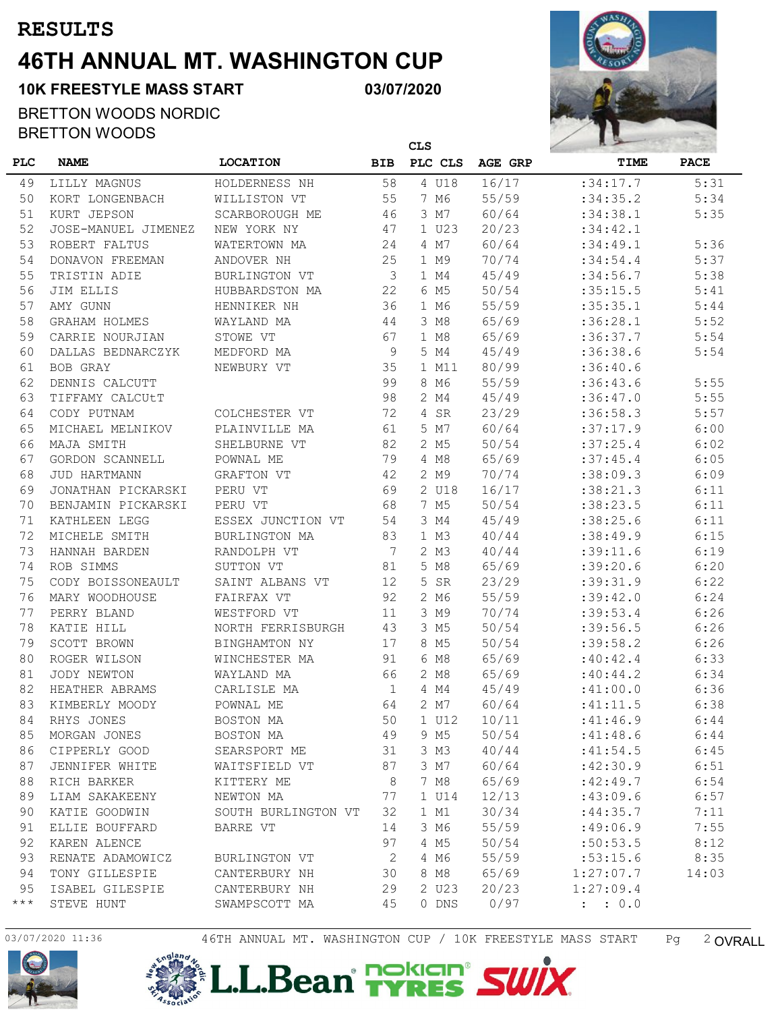## **46TH ANNUAL MT. WASHINGTON CUP RESULTS**

**03/07/2020**

#### BRETTON WOODS NORDIC BRETTON WOODS

**10K FREESTYLE MASS START**



|            |                     |                     | <b>CLS</b>      |                  |         | R D        |             |  |
|------------|---------------------|---------------------|-----------------|------------------|---------|------------|-------------|--|
| <b>PLC</b> | <b>NAME</b>         | <b>LOCATION</b>     | <b>BIB</b>      | PLC CLS          | AGE GRP | TIME       | <b>PACE</b> |  |
| 49         | LILLY MAGNUS        | HOLDERNESS NH       | 58              | 4 U18            | 16/17   | :34:17.7   | 5:31        |  |
| 50         | KORT LONGENBACH     | WILLISTON VT        | 55              | 7 M6             | 55/59   | :34:35.2   | 5:34        |  |
| 51         | KURT JEPSON         | SCARBOROUGH ME      | 46              | 3 M7             | 60/64   | : 34: 38.1 | 5:35        |  |
| 52         | JOSE-MANUEL JIMENEZ | NEW YORK NY         | 47              | 1 U23            | 20/23   | :34:42.1   |             |  |
| 53         | ROBERT FALTUS       | WATERTOWN MA        | 24              | 4 M7             | 60/64   | : 34: 49.1 | 5:36        |  |
| 54         | DONAVON FREEMAN     | ANDOVER NH          | 25              | 1 M9             | 70/74   | : 34: 54.4 | 5:37        |  |
| 55         | TRISTIN ADIE        | BURLINGTON VT       | 3               | 1 M4             | 45/49   | : 34: 56.7 | 5:38        |  |
| 56         | JIM ELLIS           | HUBBARDSTON MA      | 22              | 6 M5             | 50/54   | :35:15.5   | 5:41        |  |
| 57         | AMY GUNN            | HENNIKER NH         | 36              | 1 M6             | 55/59   | :35:35.1   | 5:44        |  |
| 58         | GRAHAM HOLMES       | WAYLAND MA          | 44              | 3 M8             | 65/69   | :36:28.1   | 5:52        |  |
| 59         | CARRIE NOURJIAN     | STOWE VT            | 67              | 1 M8             | 65/69   | :36:37.7   | 5:54        |  |
| 60         | DALLAS BEDNARCZYK   | MEDFORD MA          | 9               | 5 M4             | 45/49   | :36:38.6   | 5:54        |  |
| 61         | BOB GRAY            | NEWBURY VT          | 35              | 1 M11            | 80/99   | :36:40.6   |             |  |
| 62         | DENNIS CALCUTT      |                     | 99              | 8 M6             | 55/59   | :36:43.6   | 5:55        |  |
| 63         | TIFFAMY CALCUtT     |                     | 98              | 2 M4             | 45/49   | :36:47.0   | 5:55        |  |
| 64         | CODY PUTNAM         | COLCHESTER VT       | 72              | 4 SR             | 23/29   | :36:58.3   | 5:57        |  |
| 65         | MICHAEL MELNIKOV    | PLAINVILLE MA       | 61              | 5 M7             | 60/64   | :37:17.9   | 6:00        |  |
| 66         | MAJA SMITH          | SHELBURNE VT        | 82              | 2 M5             | 50/54   | :37:25.4   | 6:02        |  |
| 67         | GORDON SCANNELL     | POWNAL ME           | 79              | 4 M8             | 65/69   | :37:45.4   | 6:05        |  |
| 68         | <b>JUD HARTMANN</b> | GRAFTON VT          | 42              | 2 M9             | 70/74   | :38:09.3   | 6:09        |  |
| 69         | JONATHAN PICKARSKI  | PERU VT             | 69              | 2 U18            | 16/17   | :38:21.3   | 6:11        |  |
| 70         | BENJAMIN PICKARSKI  | PERU VT             | 68              | 7 M5             | 50/54   | :38:23.5   | 6:11        |  |
| 71         | KATHLEEN LEGG       | ESSEX JUNCTION VT   | 54              | 3 M4             | 45/49   | :38:25.6   | 6:11        |  |
| 72         | MICHELE SMITH       | BURLINGTON MA       | 83              | 1 M3             | 40/44   | :38:49.9   | 6:15        |  |
| 73         | HANNAH BARDEN       | RANDOLPH VT         | $7\phantom{.0}$ | 2 M3             | 40/44   | :39:11.6   | 6:19        |  |
| 74         | ROB SIMMS           | SUTTON VT           | 81              | 5 M8             | 65/69   | :39:20.6   | 6:20        |  |
| 75         | CODY BOISSONEAULT   | SAINT ALBANS VT     | 12              | 5<br><b>SR</b>   | 23/29   | : 39: 31.9 | 6:22        |  |
| 76         | MARY WOODHOUSE      | FAIRFAX VT          | 92              | 2 M6             | 55/59   | :39:42.0   | 6:24        |  |
| 77         | PERRY BLAND         | WESTFORD VT         | 11              | 3 M9             | 70/74   | :39:53.4   | 6:26        |  |
| 78         | KATIE HILL          | NORTH FERRISBURGH   | 43              | 3 M5             | 50/54   | :39:56.5   | 6:26        |  |
| 79         | SCOTT BROWN         | BINGHAMTON NY       | 17              | 8 M5             | 50/54   | :39:58.2   | 6:26        |  |
| 80         | ROGER WILSON        | WINCHESTER MA       | 91              | 6 M8             | 65/69   | :40:42.4   | 6:33        |  |
| 81         | JODY NEWTON         | WAYLAND MA          | 66              | 2 M8             | 65/69   | :40:44.2   | 6:34        |  |
| 82         | HEATHER ABRAMS      | CARLISLE MA         | $\mathbf{1}$    | 4 M4             | 45/49   | :41:00.0   | 6:36        |  |
| 83         | KIMBERLY MOODY      | POWNAL ME           | 64              | 2 M7             | 60/64   | :41:11.5   | 6:38        |  |
| 84         | RHYS JONES          | BOSTON MA           | 50              | 1 U12            | 10/11   | :41:46.9   | 6:44        |  |
| 85         | MORGAN JONES        | BOSTON MA           | 49              | 9 M <sub>5</sub> | 50/54   | :41:48.6   | 6:44        |  |
| 86         | CIPPERLY GOOD       | SEARSPORT ME        | 31              | 3 M3             | 40/44   | :41:54.5   | 6:45        |  |
| 87         | JENNIFER WHITE      | WAITSFIELD VT       | 87              | 3 M7             | 60/64   | :42:30.9   | 6:51        |  |
| 88         | RICH BARKER         | KITTERY ME          | 8               | 7 M8             | 65/69   | :42:49.7   | 6:54        |  |
| 89         | LIAM SAKAKEENY      | NEWTON MA           | 77              | 1 U14            | 12/13   | :43:09.6   | 6:57        |  |
| 90         | KATIE GOODWIN       | SOUTH BURLINGTON VT | 32              | 1 M1             | 30/34   | :44:35.7   | 7:11        |  |
| 91         | ELLIE BOUFFARD      | BARRE VT            | 14              | 3 M6             | 55/59   | :49:06.9   | 7:55        |  |
| 92         | KAREN ALENCE        |                     | 97              | 4 M <sub>5</sub> | 50/54   | :50:53.5   | 8:12        |  |
| 93         | RENATE ADAMOWICZ    | BURLINGTON VT       | 2               | 4 M6             | 55/59   | :53:15.6   | 8:35        |  |
| 94         | TONY GILLESPIE      | CANTERBURY NH       | 30              | 8 M8             | 65/69   | 1:27:07.7  | 14:03       |  |
| 95         | ISABEL GILESPIE     | CANTERBURY NH       | 29              | 2 U23            | 20/23   | 1:27:09.4  |             |  |
| $***$      | STEVE HUNT          | SWAMPSCOTT MA       | 45              | 0 DNS            | 0/97    | : 0.0      |             |  |